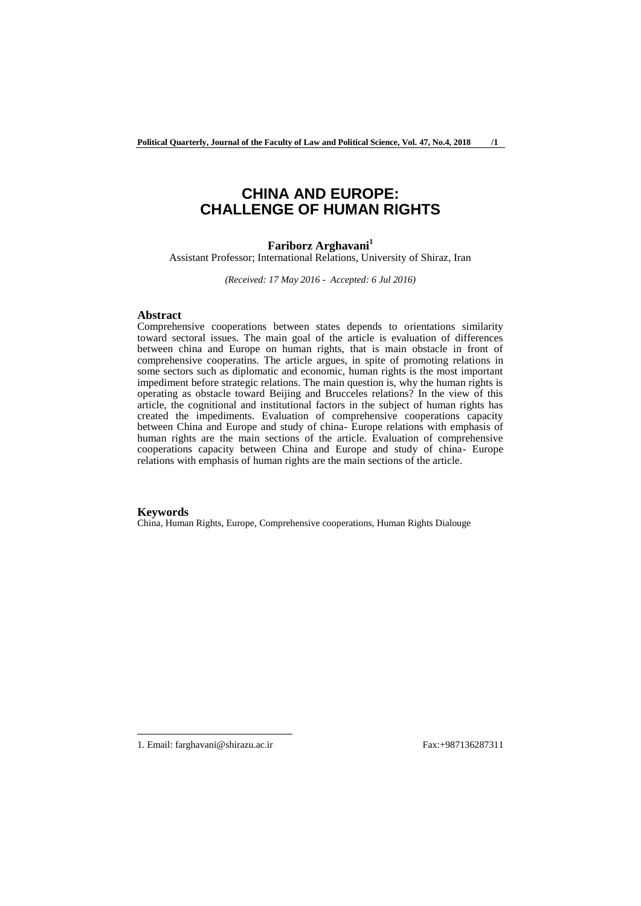# **CHINA AND EUROPE: CHALLENGE OF HUMAN RIGHTS**

## **Fariborz Arghavani<sup>1</sup>**

Assistant Professor; International Relations, University of Shiraz, Iran

*(Received: 17 May 2016 - Accepted: 6 Jul 2016)*

#### **Abstract**

Comprehensive cooperations between states depends to orientations similarity toward sectoral issues. The main goal of the article is evaluation of differences between china and Europe on human rights, that is main obstacle in front of comprehensive cooperatins. The article argues, in spite of promoting relations in some sectors such as diplomatic and economic, human rights is the most important impediment before strategic relations. The main question is, why the human rights is operating as obstacle toward Beijing and Brucceles relations? In the view of this article, the cognitional and institutional factors in the subject of human rights has created the impediments. Evaluation of comprehensive cooperations capacity between China and Europe and study of china- Europe relations with emphasis of human rights are the main sections of the article. Evaluation of comprehensive cooperations capacity between China and Europe and study of china- Europe relations with emphasis of human rights are the main sections of the article.

#### **Keywords**

China, Human Rights, Europe, Comprehensive cooperations, Human Rights Dialouge

<sup>1.</sup> Email: farghavani@shirazu.ac.ir Fax:+987136287311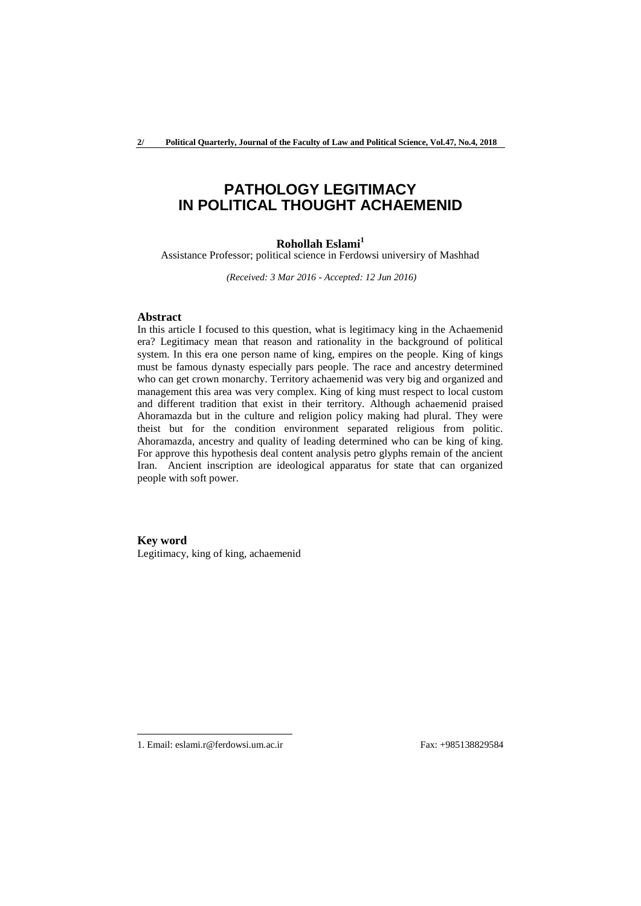# **PATHOLOGY LEGITIMACY IN POLITICAL THOUGHT ACHAEMENID**

## **Rohollah Eslami<sup>1</sup>**

Assistance Professor; political science in Ferdowsi universiry of Mashhad

*(Received: 3 Mar 2016 - Accepted: 12 Jun 2016)*

### **Abstract**

In this article I focused to this question, what is legitimacy king in the Achaemenid era? Legitimacy mean that reason and rationality in the background of political system. In this era one person name of king, empires on the people. King of kings must be famous dynasty especially pars people. The race and ancestry determined who can get crown monarchy. Territory achaemenid was very big and organized and management this area was very complex. King of king must respect to local custom and different tradition that exist in their territory. Although achaemenid praised Ahoramazda but in the culture and religion policy making had plural. They were theist but for the condition environment separated religious from politic. Ahoramazda, ancestry and quality of leading determined who can be king of king. For approve this hypothesis deal content analysis petro glyphs remain of the ancient Iran. Ancient inscription are ideological apparatus for state that can organized people with soft power.

**Key word** Legitimacy, king of king, achaemenid

<sup>1.</sup> Email: eslami.r@ferdowsi.um.ac.ir Fax: +985138829584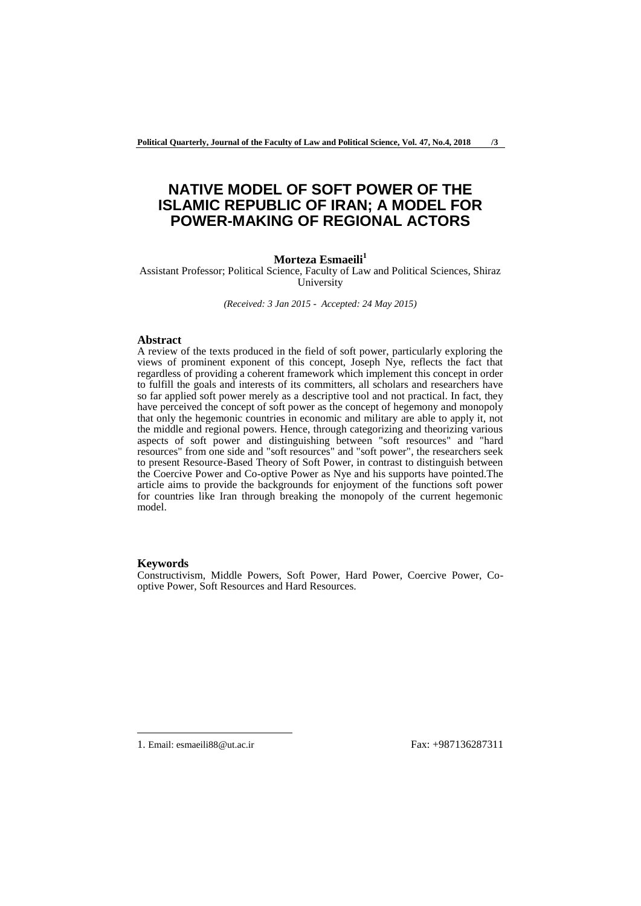# **NATIVE MODEL OF SOFT POWER OF THE ISLAMIC REPUBLIC OF IRAN; A MODEL FOR POWER-MAKING OF REGIONAL ACTORS**

#### **Morteza Esmaeili<sup>1</sup>**

Assistant Professor; Political Science, Faculty of Law and Political Sciences, Shiraz University

*(Received: 3 Jan 2015 - Accepted: 24 May 2015)*

#### **Abstract**

A review of the texts produced in the field of soft power, particularly exploring the views of prominent exponent of this concept, Joseph Nye, reflects the fact that regardless of providing a coherent framework which implement this concept in order to fulfill the goals and interests of its committers, all scholars and researchers have so far applied soft power merely as a descriptive tool and not practical. In fact, they have perceived the concept of soft power as the concept of hegemony and monopoly that only the hegemonic countries in economic and military are able to apply it, not the middle and regional powers. Hence, through categorizing and theorizing various aspects of soft power and distinguishing between "soft resources" and "hard resources" from one side and "soft resources" and "soft power", the researchers seek to present Resource-Based Theory of Soft Power, in contrast to distinguish between the Coercive Power and Co-optive Power as Nye and his supports have pointed.The article aims to provide the backgrounds for enjoyment of the functions soft power for countries like Iran through breaking the monopoly of the current hegemonic model.

#### **Keywords**

-

Constructivism, Middle Powers, Soft Power, Hard Power, Coercive Power, Cooptive Power, Soft Resources and Hard Resources.

1. Email: esmaeili88@ut.ac.ir Fax: +987136287311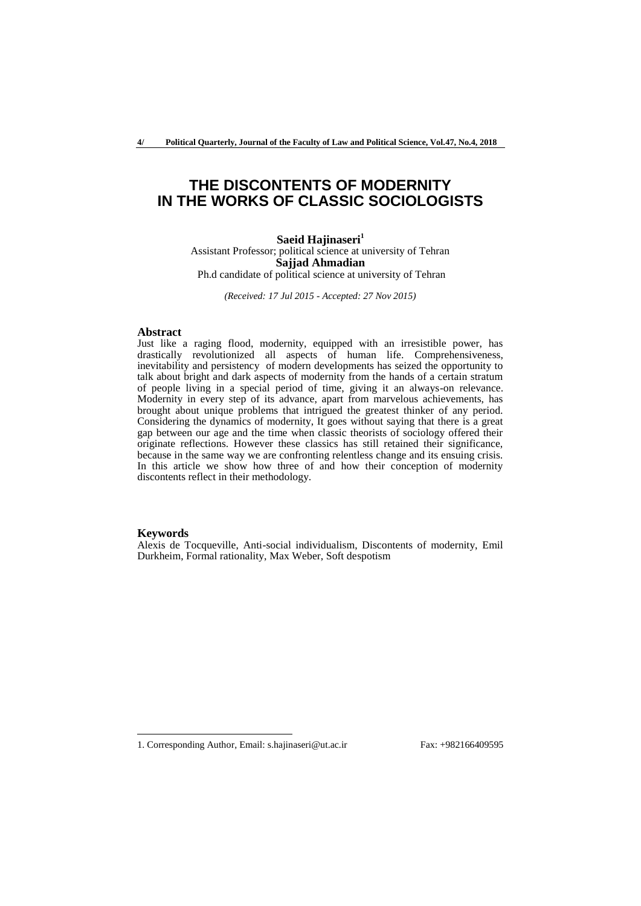**4/ Political Quarterly, Journal of the Faculty of Law and Political Science, Vol.47, No.4, 2018**

# **THE DISCONTENTS OF MODERNITY IN THE WORKS OF CLASSIC SOCIOLOGISTS**

**Saeid Hajinaseri<sup>1</sup>** Assistant Professor; political science at university of Tehran **Sajjad Ahmadian** Ph.d candidate of political science at university of Tehran

*(Received: 17 Jul 2015 - Accepted: 27 Nov 2015)*

#### **Abstract**

Just like a raging flood, modernity, equipped with an irresistible power, has drastically revolutionized all aspects of human life. Comprehensiveness, inevitability and persistency of modern developments has seized the opportunity to talk about bright and dark aspects of modernity from the hands of a certain stratum of people living in a special period of time, giving it an always-on relevance. Modernity in every step of its advance, apart from marvelous achievements, has brought about unique problems that intrigued the greatest thinker of any period. Considering the dynamics of modernity, It goes without saying that there is a great gap between our age and the time when classic theorists of sociology offered their originate reflections. However these classics has still retained their significance, because in the same way we are confronting relentless change and its ensuing crisis. In this article we show how three of and how their conception of modernity discontents reflect in their methodology.

#### **Keywords**

-

Alexis de Tocqueville, Anti-social individualism, Discontents of modernity, Emil Durkheim, Formal rationality, Max Weber, Soft despotism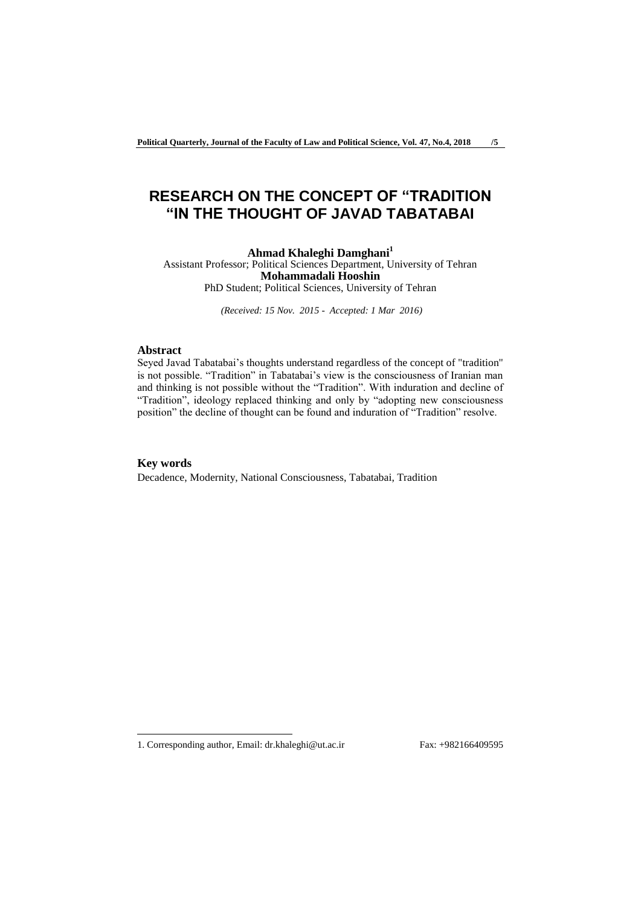# **RESEARCH ON THE CONCEPT OF "TRADITION "IN THE THOUGHT OF JAVAD TABATABAI**

**Ahmad Khaleghi Damghani<sup>1</sup>** Assistant Professor; Political Sciences Department, University of Tehran **Mohammadali Hooshin** PhD Student; Political Sciences, University of Tehran

*(Received: 15 Nov. 2015 - Accepted: 1 Mar 2016)*

### **Abstract**

Seyed Javad Tabatabai's thoughts understand regardless of the concept of "tradition" is not possible. "Tradition" in Tabatabai's view is the consciousness of Iranian man and thinking is not possible without the "Tradition". With induration and decline of "Tradition", ideology replaced thinking and only by "adopting new consciousness position" the decline of thought can be found and induration of "Tradition" resolve.

#### **Key words**

-

Decadence, Modernity, National Consciousness, Tabatabai, Tradition

<sup>1.</sup> Corresponding author, Email: dr.khaleghi@ut.ac.ir Fax: +982166409595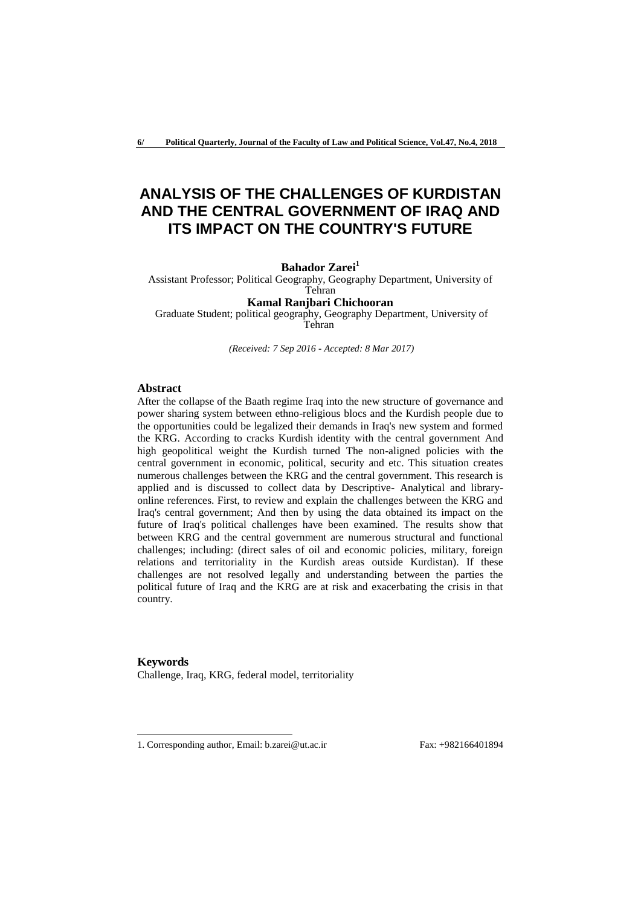# **ANALYSIS OF THE CHALLENGES OF KURDISTAN AND THE CENTRAL GOVERNMENT OF IRAQ AND ITS IMPACT ON THE COUNTRY'S FUTURE**

### **Bahador Zarei<sup>1</sup>**

Assistant Professor; Political Geography, Geography Department, University of Tehran

# **Kamal Ranjbari Chichooran**

Graduate Student; political geography, Geography Department, University of Tehran

*(Received: 7 Sep 2016 - Accepted: 8 Mar 2017)*

#### **Abstract**

-

After the collapse of the Baath regime Iraq into the new structure of governance and power sharing system between ethno-religious blocs and the Kurdish people due to the opportunities could be legalized their demands in Iraq's new system and formed the KRG. According to cracks Kurdish identity with the central government And high geopolitical weight the Kurdish turned The non-aligned policies with the central government in economic, political, security and etc. This situation creates numerous challenges between the KRG and the central government. This research is applied and is discussed to collect data by Descriptive- Analytical and libraryonline references. First, to review and explain the challenges between the KRG and Iraq's central government; And then by using the data obtained its impact on the future of Iraq's political challenges have been examined. The results show that between KRG and the central government are numerous structural and functional challenges; including: (direct sales of oil and economic policies, military, foreign relations and territoriality in the Kurdish areas outside Kurdistan). If these challenges are not resolved legally and understanding between the parties the political future of Iraq and the KRG are at risk and exacerbating the crisis in that country.

**Keywords** Challenge, Iraq, KRG, federal model, territoriality

<sup>1.</sup> Corresponding author, Email: b.zarei@ut.ac.ir Fax: +982166401894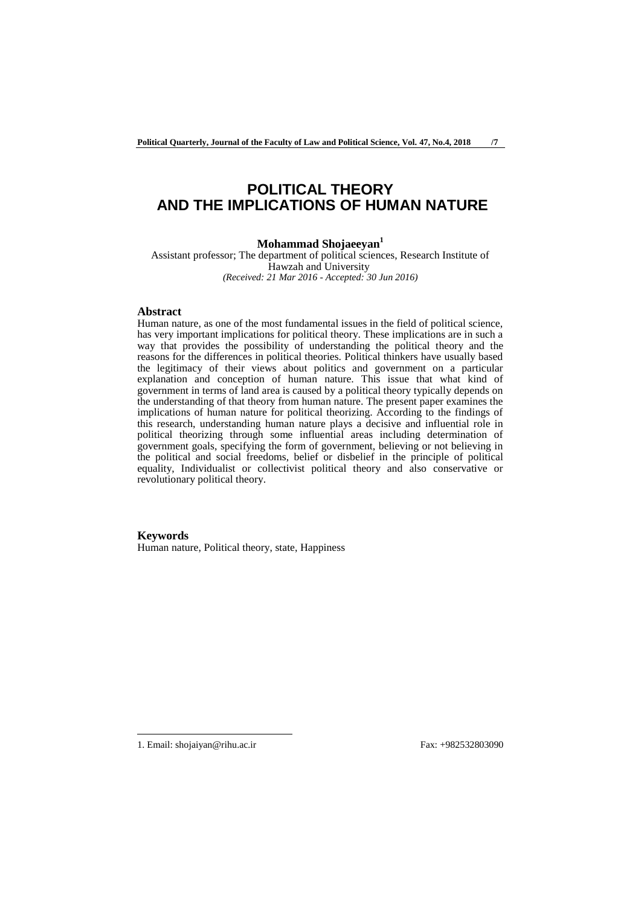# **POLITICAL THEORY AND THE IMPLICATIONS OF HUMAN NATURE**

### **Mohammad Shojaeeyan<sup>1</sup>**

Assistant professor; The department of political sciences, Research Institute of Hawzah and University *(Received: 21 Mar 2016 - Accepted: 30 Jun 2016)*

## **Abstract**

Human nature, as one of the most fundamental issues in the field of political science, has very important implications for political theory. These implications are in such a way that provides the possibility of understanding the political theory and the reasons for the differences in political theories. Political thinkers have usually based the legitimacy of their views about politics and government on a particular explanation and conception of human nature. This issue that what kind of government in terms of land area is caused by a political theory typically depends on the understanding of that theory from human nature. The present paper examines the implications of human nature for political theorizing. According to the findings of this research, understanding human nature plays a decisive and influential role in political theorizing through some influential areas including determination of government goals, specifying the form of government, believing or not believing in the political and social freedoms, belief or disbelief in the principle of political equality, Individualist or collectivist political theory and also conservative or revolutionary political theory.

#### **Keywords**

Human nature, Political theory, state, Happiness

1. Email: shojaiyan@rihu.ac.ir Fax: +982532803090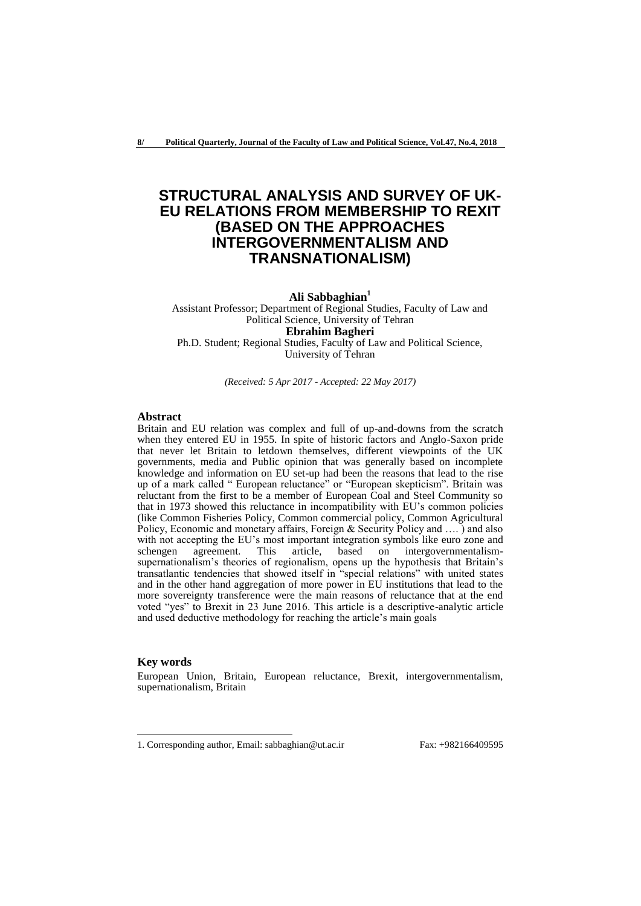# **STRUCTURAL ANALYSIS AND SURVEY OF UK-EU RELATIONS FROM MEMBERSHIP TO REXIT (BASED ON THE APPROACHES INTERGOVERNMENTALISM AND TRANSNATIONALISM)**

**Ali Sabbaghian<sup>1</sup>**

Assistant Professor; Department of Regional Studies, Faculty of Law and Political Science, University of Tehran **Ebrahim Bagheri** Ph.D. Student; Regional Studies, Faculty of Law and Political Science, University of Tehran

*(Received: 5 Apr 2017 - Accepted: 22 May 2017)*

## **Abstract**

Britain and EU relation was complex and full of up-and-downs from the scratch when they entered EU in 1955. In spite of historic factors and Anglo-Saxon pride that never let Britain to letdown themselves, different viewpoints of the UK governments, media and Public opinion that was generally based on incomplete knowledge and information on EU set-up had been the reasons that lead to the rise up of a mark called " European reluctance" or "European skepticism". Britain was reluctant from the first to be a member of European Coal and Steel Community so that in 1973 showed this reluctance in incompatibility with EU's common policies (like Common Fisheries Policy, Common commercial policy, Common Agricultural Policy, Economic and monetary affairs, Foreign & Security Policy and …. ) and also with not accepting the EU's most important integration symbols like euro zone and schengen agreement. This article, based on intergovernmentalismsupernationalism's theories of regionalism, opens up the hypothesis that Britain's transatlantic tendencies that showed itself in "special relations" with united states and in the other hand aggregation of more power in EU institutions that lead to the more sovereignty transference were the main reasons of reluctance that at the end voted "yes" to Brexit in 23 June 2016. This article is a descriptive-analytic article and used deductive methodology for reaching the article's main goals

#### **Key words**

-

European Union, Britain, European reluctance, Brexit, intergovernmentalism, supernationalism, Britain

<sup>1.</sup> Corresponding author, Email: sabbaghian@ut.ac.ir Fax: +982166409595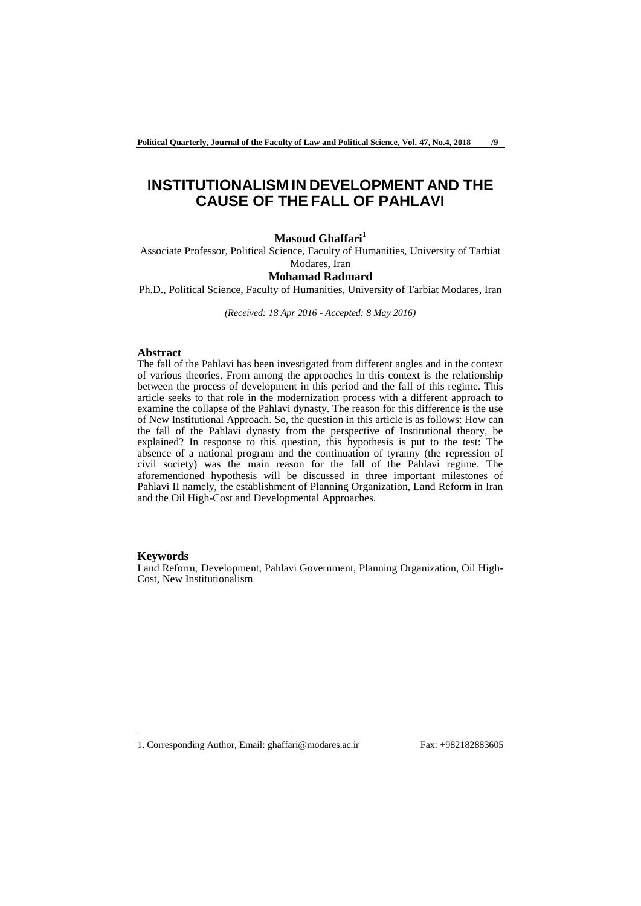# **INSTITUTIONALISM IN DEVELOPMENT AND THE CAUSE OF THE FALL OF PAHLAVI**

### **Masoud Ghaffari<sup>1</sup>**

Associate Professor, Political Science, Faculty of Humanities, University of Tarbiat Modares, Iran

# **Mohamad Radmard**

Ph.D., Political Science, Faculty of Humanities, University of Tarbiat Modares, Iran

*(Received: 18 Apr 2016 - Accepted: 8 May 2016)*

#### **Abstract**

The fall of the Pahlavi has been investigated from different angles and in the context of various theories. From among the approaches in this context is the relationship between the process of development in this period and the fall of this regime. This article seeks to that role in the modernization process with a different approach to examine the collapse of the Pahlavi dynasty. The reason for this difference is the use of New Institutional Approach. So, the question in this article is as follows: How can the fall of the Pahlavi dynasty from the perspective of Institutional theory, be explained? In response to this question, this hypothesis is put to the test: The absence of a national program and the continuation of tyranny (the repression of civil society) was the main reason for the fall of the Pahlavi regime. The aforementioned hypothesis will be discussed in three important milestones of Pahlavi II namely, the establishment of Planning Organization, Land Reform in Iran and the Oil High-Cost and Developmental Approaches.

#### **Keywords**

-

Land Reform, Development, Pahlavi Government, Planning Organization, Oil High-Cost, New Institutionalism

<sup>1.</sup> Corresponding Author, Email: ghaffari@modares.ac.ir Fax: +982182883605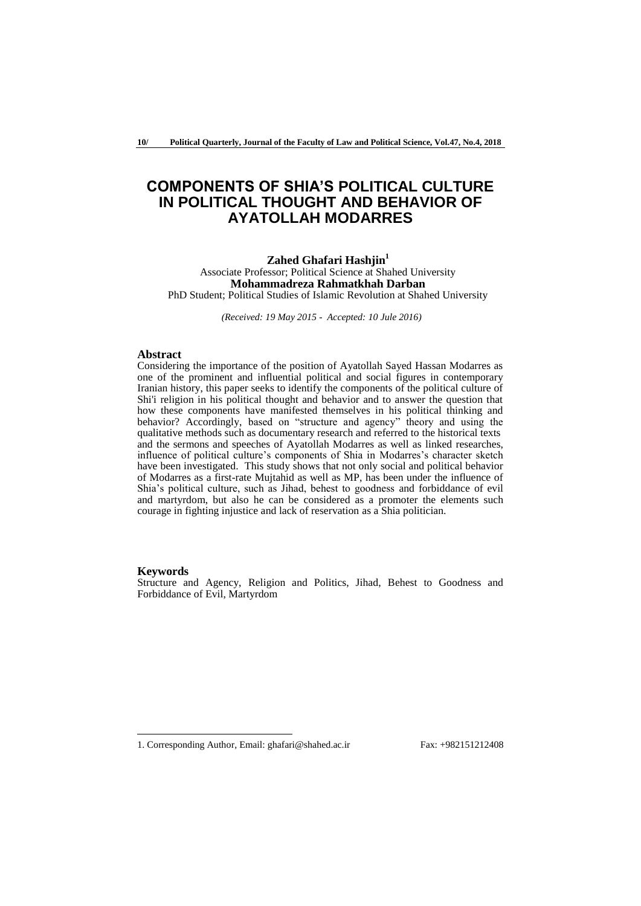# **COMPONENTS OF SHIA'S POLITICAL CULTURE IN POLITICAL THOUGHT AND BEHAVIOR OF AYATOLLAH MODARRES**

#### **Zahed Ghafari Hashjin<sup>1</sup>** Associate Professor; Political Science at Shahed University **Mohammadreza Rahmatkhah Darban** PhD Student; Political Studies of Islamic Revolution at Shahed University

*(Received: 19 May 2015 - Accepted: 10 Jule 2016)*

# **Abstract**

Considering the importance of the position of Ayatollah Sayed Hassan Modarres as one of the prominent and influential political and social figures in contemporary Iranian history, this paper seeks to identify the components of the political culture of Shi'i religion in his political thought and behavior and to answer the question that how these components have manifested themselves in his political thinking and behavior? Accordingly, based on "structure and agency" theory and using the qualitative methods such as documentary research and referred to the historical texts and the sermons and speeches of Ayatollah Modarres as well as linked researches, influence of political culture's components of Shia in Modarres's character sketch have been investigated. This study shows that not only social and political behavior of Modarres as a first-rate Mujtahid as well as MP, has been under the influence of Shia's political culture, such as Jihad, behest to goodness and forbiddance of evil and martyrdom, but also he can be considered as a promoter the elements such courage in fighting injustice and lack of reservation as a Shia politician.

#### **Keywords**

-

Structure and Agency, Religion and Politics, Jihad, Behest to Goodness and Forbiddance of Evil, Martyrdom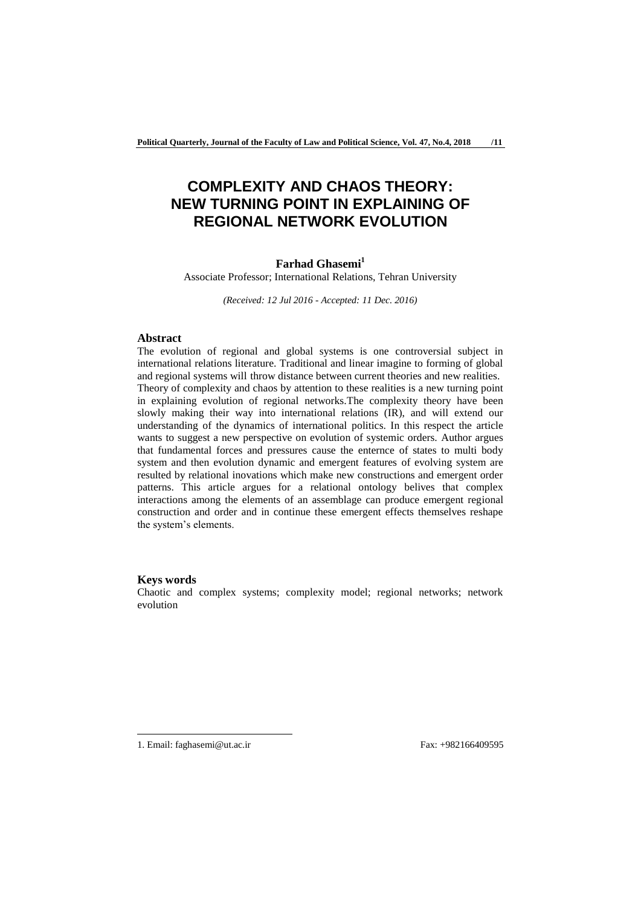# **COMPLEXITY AND CHAOS THEORY: NEW TURNING POINT IN EXPLAINING OF REGIONAL NETWORK EVOLUTION**

# **Farhad Ghasemi<sup>1</sup>**

Associate Professor; International Relations, Tehran University

*(Received: 12 Jul 2016 - Accepted: 11 Dec. 2016)*

### **Abstract**

The evolution of regional and global systems is one controversial subject in international relations literature. Traditional and linear imagine to forming of global and regional systems will throw distance between current theories and new realities. Theory of complexity and chaos by attention to these realities is a new turning point in explaining evolution of regional networks.The complexity theory have been slowly making their way into international relations (IR), and will extend our understanding of the dynamics of international politics. In this respect the article wants to suggest a new perspective on evolution of systemic orders. Author argues that fundamental forces and pressures cause the enternce of states to multi body system and then evolution dynamic and emergent features of evolving system are resulted by relational inovations which make new constructions and emergent order patterns. This article argues for a relational ontology belives that complex interactions among the elements of an assemblage can produce emergent regional construction and order and in continue these emergent effects themselves reshape the system's elements.

#### **Keys words**

Chaotic and complex systems; complexity model; regional networks; network evolution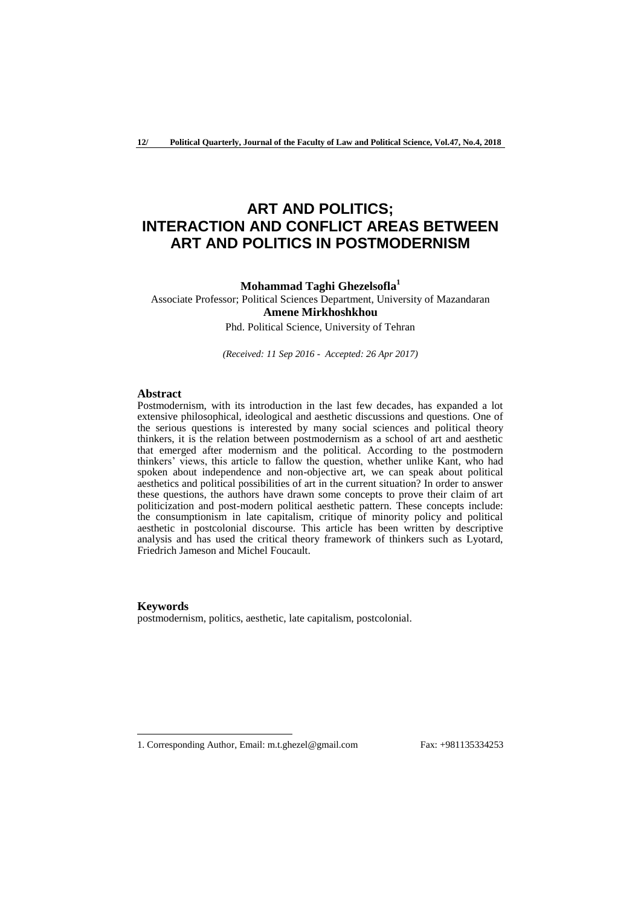# **ART AND POLITICS; INTERACTION AND CONFLICT AREAS BETWEEN ART AND POLITICS IN POSTMODERNISM**

### **Mohammad Taghi Ghezelsofla<sup>1</sup>**

Associate Professor; Political Sciences Department, University of Mazandaran **Amene Mirkhoshkhou**

Phd. Political Science, University of Tehran

*(Received: 11 Sep 2016 - Accepted: 26 Apr 2017)*

# **Abstract**

Postmodernism, with its introduction in the last few decades, has expanded a lot extensive philosophical, ideological and aesthetic discussions and questions. One of the serious questions is interested by many social sciences and political theory thinkers, it is the relation between postmodernism as a school of art and aesthetic that emerged after modernism and the political. According to the postmodern thinkers' views, this article to fallow the question, whether unlike Kant, who had spoken about independence and non-objective art, we can speak about political aesthetics and political possibilities of art in the current situation? In order to answer these questions, the authors have drawn some concepts to prove their claim of art politicization and post-modern political aesthetic pattern. These concepts include: the consumptionism in late capitalism, critique of minority policy and political aesthetic in postcolonial discourse. This article has been written by descriptive analysis and has used the critical theory framework of thinkers such as Lyotard, Friedrich Jameson and Michel Foucault.

#### **Keywords**

-

postmodernism, politics, aesthetic, late capitalism, postcolonial.

<sup>1.</sup> Corresponding Author, Email: m.t.ghezel@gmail.com Fax: +981135334253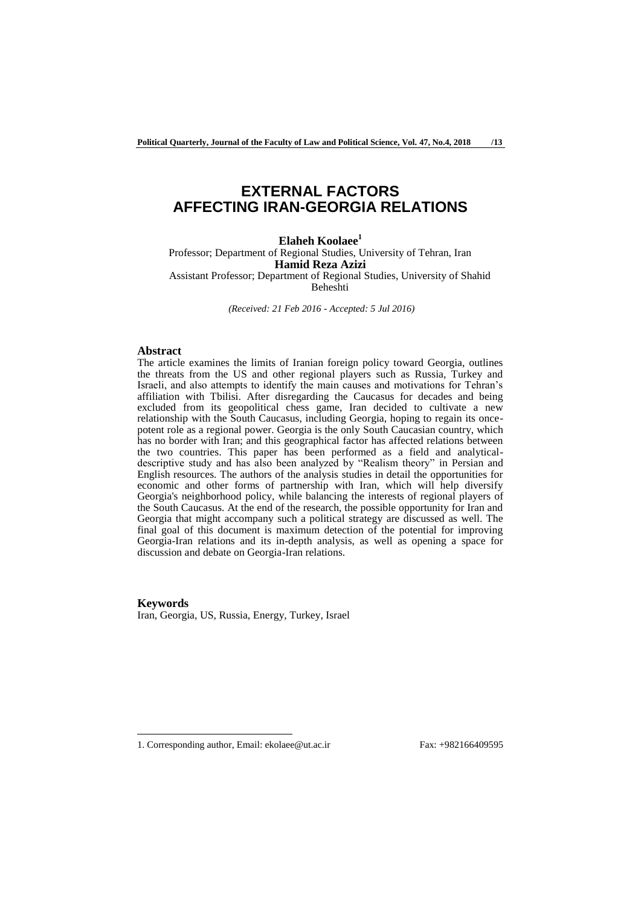# **EXTERNAL FACTORS AFFECTING IRAN-GEORGIA RELATIONS**

**Elaheh Koolaee<sup>1</sup>** Professor; Department of Regional Studies, University of Tehran, Iran **Hamid Reza Azizi** Assistant Professor; Department of Regional Studies, University of Shahid Beheshti

*(Received: 21 Feb 2016 - Accepted: 5 Jul 2016)*

## **Abstract**

The article examines the limits of Iranian foreign policy toward Georgia, outlines the threats from the US and other regional players such as Russia, Turkey and Israeli, and also attempts to identify the main causes and motivations for Tehran's affiliation with Tbilisi. After disregarding the Caucasus for decades and being excluded from its geopolitical chess game, Iran decided to cultivate a new relationship with the South Caucasus, including Georgia, hoping to regain its oncepotent role as a regional power. Georgia is the only South Caucasian country, which has no border with Iran; and this geographical factor has affected relations between the two countries. This paper has been performed as a field and analyticaldescriptive study and has also been analyzed by "Realism theory" in Persian and English resources. The authors of the analysis studies in detail the opportunities for economic and other forms of partnership with Iran, which will help diversify Georgia's neighborhood policy, while balancing the interests of regional players of the South Caucasus. At the end of the research, the possible opportunity for Iran and Georgia that might accompany such a political strategy are discussed as well. The final goal of this document is maximum detection of the potential for improving Georgia-Iran relations and its in-depth analysis, as well as opening a space for discussion and debate on Georgia-Iran relations.

**Keywords** Iran, Georgia, US, Russia, Energy, Turkey, Israel

<sup>1.</sup> Corresponding author, Email: ekolaee@ut.ac.ir Fax: +982166409595